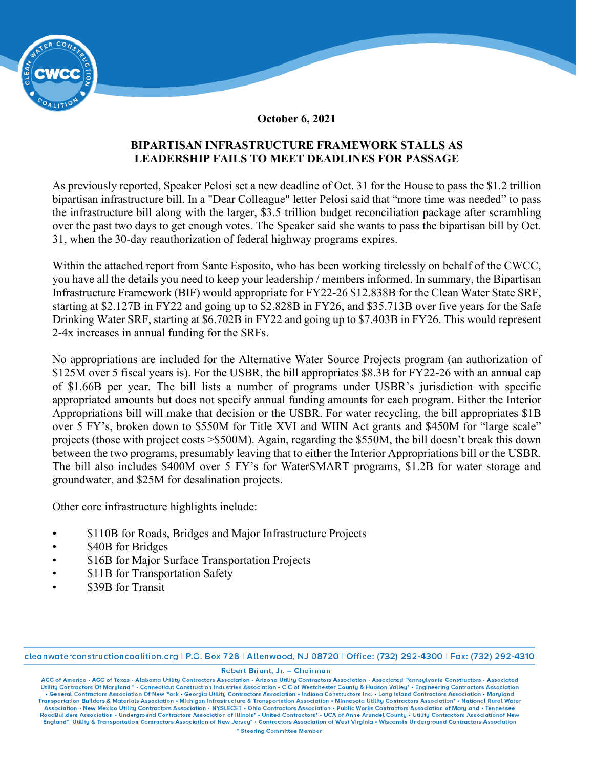

**October 6, 2021** 

## **BIPARTISAN INFRASTRUCTURE FRAMEWORK STALLS AS LEADERSHIP FAILS TO MEET DEADLINES FOR PASSAGE**

As previously reported, Speaker Pelosi set a new deadline of Oct. 31 for the House to pass the \$1.2 trillion bipartisan infrastructure bill. In a "Dear Colleague" letter Pelosi said that "more time was needed" to pass the infrastructure bill along with the larger, \$3.5 trillion budget reconciliation package after scrambling over the past two days to get enough votes. The Speaker said she wants to pass the bipartisan bill by Oct. 31, when the 30-day reauthorization of federal highway programs expires.

Within the attached report from Sante Esposito, who has been working tirelessly on behalf of the CWCC, you have all the details you need to keep your leadership / members informed. In summary, the Bipartisan Infrastructure Framework (BIF) would appropriate for FY22-26 \$12.838B for the Clean Water State SRF, starting at \$2.127B in FY22 and going up to \$2.828B in FY26, and \$35.713B over five years for the Safe Drinking Water SRF, starting at \$6.702B in FY22 and going up to \$7.403B in FY26. This would represent 2-4x increases in annual funding for the SRFs.

No appropriations are included for the Alternative Water Source Projects program (an authorization of \$125M over 5 fiscal years is). For the USBR, the bill appropriates \$8.3B for FY22-26 with an annual cap of \$1.66B per year. The bill lists a number of programs under USBR's jurisdiction with specific appropriated amounts but does not specify annual funding amounts for each program. Either the Interior Appropriations bill will make that decision or the USBR. For water recycling, the bill appropriates \$1B over 5 FY's, broken down to \$550M for Title XVI and WIIN Act grants and \$450M for "large scale" projects (those with project costs >\$500M). Again, regarding the \$550M, the bill doesn't break this down between the two programs, presumably leaving that to either the Interior Appropriations bill or the USBR. The bill also includes \$400M over 5 FY's for WaterSMART programs, \$1.2B for water storage and groundwater, and \$25M for desalination projects.

Other core infrastructure highlights include:

- \$110B for Roads, Bridges and Major Infrastructure Projects
- \$40B for Bridges
- \$16B for Major Surface Transportation Projects
- \$11B for Transportation Safety
- \$39B for Transit

cleanwaterconstructioncoalition.org | P.O. Box 728 | Allenwood, NJ 08720 | Office: (732) 292-4300 | Fax: (732) 292-4310

Robert Briant, Jr. - Chairman

AGC of America • AGC of Texas • Alabama Utility Contractors Association • Arizona Utility Contractors Association • Associated Pennsylvania Constructors • Associated Utility Contractors • Associated Utility Contractors Ass . General Contractors Association Of New York . Georgia Utility Contractors Association . Indiana Constructors Inc. . Long Island Contractors Association . Maryland Transportation Builders & Materials Association • Michigan Infrastructure & Transportation Association • Minnesota Utility Contractors Association\* • National Rural Water Association • New Mexico Utility Contractors Association • NYSLECET • Ohio Contractors Association • Public Works Contractors Association of Maryland • Tennessee<br>RoadBuilders Association • Underground Contractors Associati England\* Utility & Transportation Contractors Association of New Jersey\* . Contractors Association of West Virginia . Wisconsin Underground Contractors Association \* Steering Committee Member